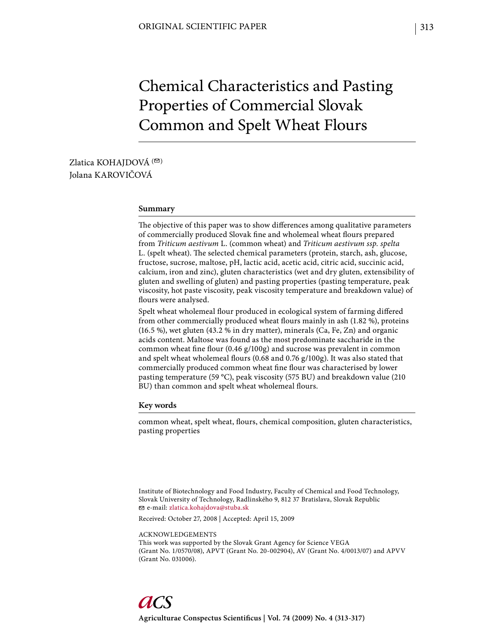# Chemical Characteristics and Pasting Properties of Commercial Slovak Common and Spelt Wheat Flours

# Zlatica KOHAJDOVÁ<sup>(20)</sup> Jolana KAROVIČOVÁ

#### **Summary**

The objective of this paper was to show differences among qualitative parameters of commercially produced Slovak fine and wholemeal wheat flours prepared from *Triticum aestivum* L. (common wheat) and *Triticum aestivum ssp. spelta*  L. (spelt wheat). The selected chemical parameters (protein, starch, ash, glucose, fructose, sucrose, maltose, pH, lactic acid, acetic acid, citric acid, succinic acid, calcium, iron and zinc), gluten characteristics (wet and dry gluten, extensibility of gluten and swelling of gluten) and pasting properties (pasting temperature, peak viscosity, hot paste viscosity, peak viscosity temperature and breakdown value) of flours were analysed.

Spelt wheat wholemeal flour produced in ecological system of farming differed from other commercially produced wheat flours mainly in ash (1.82 %), proteins (16.5 %), wet gluten (43.2 % in dry matter), minerals (Ca, Fe, Zn) and organic acids content. Maltose was found as the most predominate saccharide in the common wheat fine flour  $(0.46 \text{ g}/100 \text{ g})$  and sucrose was prevalent in common and spelt wheat wholemeal flours (0.68 and 0.76 g/100g). It was also stated that commercially produced common wheat fine flour was characterised by lower pasting temperature (59 °C), peak viscosity (575 BU) and breakdown value (210 BU) than common and spelt wheat wholemeal flours.

### **Key words**

common wheat, spelt wheat, flours, chemical composition, gluten characteristics, pasting properties

Institute of Biotechnology and Food Industry, Faculty of Chemical and Food Technology, Slovak University of Technology, Radlinského 9, 812 37 Bratislava, Slovak Republic e-mail: zlatica.kohajdova@stuba.sk

Received: October 27, 2008 | Accepted: April 15, 2009

#### ACKNOWLEDGEMENTS

This work was supported by the Slovak Grant Agency for Science VEGA (Grant No. 1/0570/08), APVT (Grant No. 20-002904), AV (Grant No. 4/0013/07) and APVV (Grant No. 031006).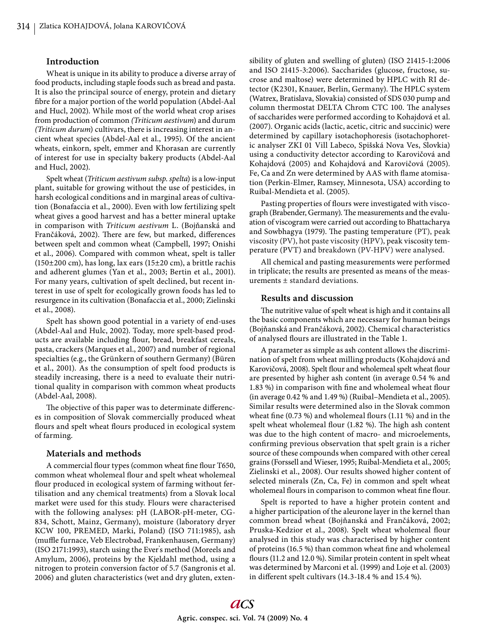### **Introduction**

Wheat is unique in its ability to produce a diverse array of food products, including staple foods such as bread and pasta. It is also the principal source of energy, protein and dietary fibre for a major portion of the world population (Abdel-Aal and Hucl, 2002). While most of the world wheat crop arises from production of common *(Triticum aestivum*) and durum *(Triticum durum*) cultivars, there is increasing interest in ancient wheat species (Abdel-Aal et al., 1995). Of the ancient wheats, einkorn, spelt, emmer and Khorasan are currently of interest for use in specialty bakery products (Abdel-Aal and Hucl, 2002).

Spelt wheat (*Triticum aestivum subsp*. *spelta*) is a low-input plant, suitable for growing without the use of pesticides, in harsh ecological conditions and in marginal areas of cultivation (Bonafaccia et al., 2000). Even with low fertilizing spelt wheat gives a good harvest and has a better mineral uptake in comparison with *Triticum aestivum* L. (Bojňanská and Frančáková, 2002). There are few, but marked, differences between spelt and common wheat (Campbell, 1997; Onishi et al., 2006). Compared with common wheat, spelt is taller (150±200 cm), has long, lax ears (15±20 cm), a brittle rachis and adherent glumes (Yan et al., 2003; Bertin et al., 2001). For many years, cultivation of spelt declined, but recent interest in use of spelt for ecologically grown foods has led to resurgence in its cultivation (Bonafaccia et al., 2000; Zielinski et al., 2008).

Spelt has shown good potential in a variety of end-uses (Abdel-Aal and Hulc, 2002). Today, more spelt-based products are available including flour, bread, breakfast cereals, pasta, crackers (Marques et al., 2007) and number of regional specialties (e.g., the Grünkern of southern Germany) (Büren et al., 2001). As the consumption of spelt food products is steadily increasing, there is a need to evaluate their nutritional quality in comparison with common wheat products (Abdel-Aal, 2008).

The objective of this paper was to determinate differences in composition of Slovak commercially produced wheat flours and spelt wheat flours produced in ecological system of farming.

#### **Materials and methods**

A commercial flour types (common wheat fine flour T650, common wheat wholemeal flour and spelt wheat wholemeal flour produced in ecological system of farming without fertilisation and any chemical treatments) from a Slovak local market were used for this study. Flours were characterised with the following analyses: pH (LABOR-pH-meter, CG-834, Schott, Mainz, Germany), moisture (laboratory dryer KCW 100, PREMED, Marki, Poland) (ISO 711:1985), ash (muffle furnace, Veb Electrobad, Frankenhausen, Germany) (ISO 2171:1993), starch using the Ever' s method (Moreels and Amylum, 2006), proteins by the Kjeldahl method, using a nitrogen to protein conversion factor of 5.7 (Sangronis et al. 2006) and gluten characteristics (wet and dry gluten, extensibility of gluten and swelling of gluten) (ISO 21415-1:2006 and ISO 21415-3:2006). Saccharides (glucose, fructose, sucrose and maltose) were determined by HPLC with RI detector (K2301, Knauer, Berlin, Germany). The HPLC system (Watrex, Bratislava, Slovakia) consisted of SDS 030 pump and column thermostat DELTA Chrom CTC 100. The analyses of saccharides were performed according to Kohajdová et al. (2007). Organic acids (lactic, acetic, citric and succinic) were determined by capillary isotachophoresis (isotachophoretic analyser ZKI 01 Vill Labeco, Spišská Nova Ves, Slovkia) using a conductivity detector according to Karovičová and Kohajdová (2005) and Kohajdová and Karovičová (2005). Fe, Ca and Zn were determined by AAS with flame atomisation (Perkin-Elmer, Ramsey, Minnesota, USA) according to Ruibal-Mendieta et al. (2005).

Pasting properties of flours were investigated with viscograph (Brabender, Germany). The measurements and the evaluation of viscogram were carried out according to Bhattacharya and Sowbhagya (1979). The pasting temperature (PT), peak viscosity (PV), hot paste viscosity (HPV), peak viscosity temperature (PVT) and breakdown (PV-HPV) were analysed.

All chemical and pasting measurements were performed in triplicate; the results are presented as means of the measurements ± standard deviations.

## **Results and discussion**

The nutritive value of spelt wheat is high and it contains all the basic components which are necessary for human beings (Bojňanská and Frančáková, 2002). Chemical characteristics of analysed flours are illustrated in the Table 1.

A parameter as simple as ash content allows the discrimination of spelt from wheat milling products (Kohajdová and Karovičová, 2008). Spelt flour and wholemeal spelt wheat flour are presented by higher ash content (in average 0.54 % and 1.83 %) in comparison with fine and wholemeal wheat flour (in average 0.42 % and 1.49 %) (Ruibal–Mendieta et al., 2005). Similar results were determined also in the Slovak common wheat fine  $(0.73 \%)$  and wholemeal flours  $(1.11 \%)$  and in the spelt wheat wholemeal flour (1.82 %). The high ash content was due to the high content of macro- and microelements, confirming previous observation that spelt grain is a richer source of these compounds when compared with other cereal grains (Forssell and Wieser, 1995; Ruibal-Mendieta et al., 2005; Zielinski et al., 2008). Our results showed higher content of selected minerals (Zn, Ca, Fe) in common and spelt wheat wholemeal flours in comparison to common wheat fine flour.

Spelt is reported to have a higher protein content and a higher participation of the aleurone layer in the kernel than common bread wheat (Bojňanská and Frančáková, 2002; Pruska-Kedzior et al., 2008). Spelt wheat wholemeal flour analysed in this study was characterised by higher content of proteins (16.5 %) than common wheat fine and wholemeal flours (11.2 and 12.0 %). Similar protein content in spelt wheat was determined by Marconi et al. (1999) and Loje et al. (2003) in different spelt cultivars  $(14.3-18.4\%$  and  $15.4\%$ ).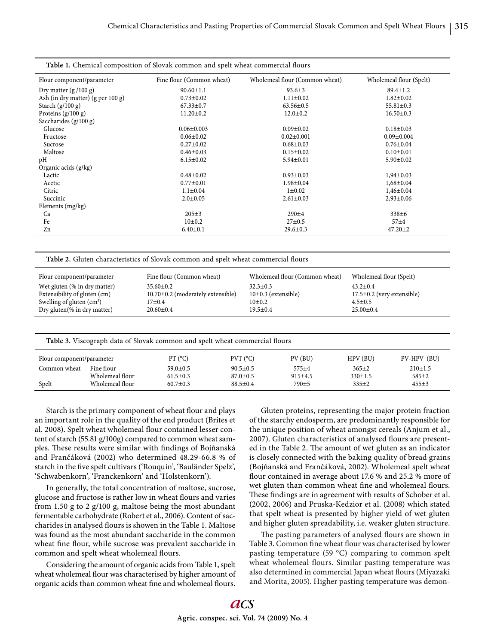| Table 1. Chemical composition of Slovak common and spelt wheat commercial flours |                           |                                |                         |  |  |  |  |  |
|----------------------------------------------------------------------------------|---------------------------|--------------------------------|-------------------------|--|--|--|--|--|
| Flour component/parameter                                                        | Fine flour (Common wheat) | Wholemeal flour (Common wheat) | Wholemeal flour (Spelt) |  |  |  |  |  |
| Dry matter $(g/100 g)$                                                           | $90.60 \pm 1.1$           | $93.6 \pm 3$                   | $89.4 \pm 1.2$          |  |  |  |  |  |
| Ash (in dry matter) $(g per 100 g)$                                              | $0.73 \pm 0.02$           | $1.11 \pm 0.02$                | $1.82 \pm 0.02$         |  |  |  |  |  |
| Starch $(g/100 g)$                                                               | $67.33 \pm 0.7$           | $63.56 \pm 0.5$                | $55.81 \pm 0.3$         |  |  |  |  |  |
| Proteins $(g/100 g)$                                                             | $11.20 \pm 0.2$           | $12.0 \pm 0.2$                 | $16.50 \pm 0.3$         |  |  |  |  |  |
| Saccharides $(g/100 g)$                                                          |                           |                                |                         |  |  |  |  |  |
| Glucose                                                                          | $0.06 \pm 0.003$          | $0.09 \pm 0.02$                | $0.18 \pm 0.03$         |  |  |  |  |  |
| Fructose                                                                         | $0.06 \pm 0.02$           | $0.02 \pm 0.001$               | $0.09 \pm 0.004$        |  |  |  |  |  |
| Sucrose                                                                          | $0.27 \pm 0.02$           | $0.68 \pm 0.03$                | $0.76 \pm 0.04$         |  |  |  |  |  |
| Maltose                                                                          | $0.46 \pm 0.03$           | $0.15 \pm 0.02$                | $0.10 \pm 0.01$         |  |  |  |  |  |
| pH                                                                               | $6.15 \pm 0.02$           | $5.94 \pm 0.01$                | $5.90 \pm 0.02$         |  |  |  |  |  |
| Organic acids (g/kg)                                                             |                           |                                |                         |  |  |  |  |  |
| Lactic                                                                           | $0.48 + 0.02$             | $0.93 \pm 0.03$                | $1,94\pm0.03$           |  |  |  |  |  |
| Acetic                                                                           | $0.77 \pm 0.01$           | $1.98 \pm 0.04$                | $1,68 \pm 0.04$         |  |  |  |  |  |
| Citric                                                                           | $1.1 \pm 0.04$            | $1 \pm 0.02$                   | $1,46 \pm 0.04$         |  |  |  |  |  |
| Succinic                                                                         | $2.0 \pm 0.05$            | $2.61 \pm 0.03$                | $2,93 \pm 0.06$         |  |  |  |  |  |
| Elements (mg/kg)                                                                 |                           |                                |                         |  |  |  |  |  |
| Ca                                                                               | $205 \pm 3$               | $290 + 4$                      | 338±6                   |  |  |  |  |  |
| Fe                                                                               | 10±0.2                    | $27 \pm 0.5$                   | 57 <sub>±4</sub>        |  |  |  |  |  |
| Zn                                                                               | $6.40 \pm 0.1$            | $29.6 \pm 0.3$                 | $47.20 \pm 2$           |  |  |  |  |  |

Table 2. Gluten characteristics of Slovak common and spelt wheat commercial flours

| Flour component/parameter                                    | Fine flour (Common wheat)                                | Wholemeal flour (Common wheat)            | Wholemeal flour (Spelt)                          |
|--------------------------------------------------------------|----------------------------------------------------------|-------------------------------------------|--------------------------------------------------|
| Wet gluten (% in dry matter)<br>Extensibility of gluten (cm) | $35.60 \pm 0.2$<br>$10.70\pm0.2$ (moderately extensible) | $32.3 \pm 0.3$<br>$10\pm0.3$ (extensible) | $43.2 \pm 0.4$<br>$17.5\pm0.2$ (very extensible) |
| Swelling of gluten $(cm3)$                                   | 17±0.4                                                   | 10 <sub>±</sub> 0.2                       | $4.5 \pm 0.5$                                    |
| Dry gluten(% in dry matter)                                  | $20.60 \pm 0.4$                                          | $19.5 \pm 0.4$                            | $25.00 \pm 0.4$                                  |

Table 3. Viscograph data of Slovak common and spelt wheat commercial flours

| Flour component/parameter |                 | PT (°C)        | $PVT$ ( $C$ )  | PV(BU)            | HPV(BU)       | PV-HPV (BU) |
|---------------------------|-----------------|----------------|----------------|-------------------|---------------|-------------|
| Common wheat              | Fine flour      | $59.0 \pm 0.5$ | $90.5 \pm 0.5$ | $575 + 4$         | $365+2$       | 210±1.5     |
|                           | Wholemeal flour | $61.5 \pm 0.3$ | $87.0 \pm 0.5$ | $915 \pm 4.5$     | $330 \pm 1.5$ | $585+2$     |
| Spelt                     | Wholemeal flour | $60.7 \pm 0.3$ | $88.5 \pm 0.4$ | 790 <sup>±5</sup> | $335+2$       | $455+3$     |

Starch is the primary component of wheat flour and plays an important role in the quality of the end product (Brites et al. 2008). Spelt wheat wholemeal flour contained lesser content of starch (55.81 g/100g) compared to common wheat samples. These results were similar with findings of Bojňanská and Frančáková (2002) who determined 48.29-66.8 % of starch in the five spelt cultivars ('Rouquin', 'Bauländer Spelz', 'Schwabenkorn', 'Franckenkorn' and 'Holstenkorn').

In generally, the total concentration of maltose, sucrose, glucose and fructose is rather low in wheat flours and varies from 1.50 g to 2 g/100 g, maltose being the most abundant fermentable carbohydrate (Robert et al., 2006). Content of saccharides in analysed flours is showen in the Table 1. Maltose was found as the most abundant saccharide in the common wheat fine flour, while sucrose was prevalent saccharide in common and spelt wheat wholemeal flours.

Considering the amount of organic acids from Table 1, spelt wheat wholemeal flour was characterised by higher amount of organic acids than common wheat fine and wholemeal flours.

Gluten proteins, representing the major protein fraction of the starchy endosperm, are predominantly responsible for the unique position of wheat amongst cereals (Anjum et al., 2007). Gluten characteristics of analysed flours are presented in the Table 2. The amount of wet gluten as an indicator is closely connected with the baking quality of bread grains (Bojňanská and Frančáková, 2002). Wholemeal spelt wheat flour contained in average about 17.6 % and 25.2 % more of wet gluten than common wheat fine and wholemeal flours. These findings are in agreement with results of Schober et al. (2002, 2006) and Pruska-Kedzior et al. (2008) which stated that spelt wheat is presented by higher yield of wet gluten and higher gluten spreadability, i.e. weaker gluten structure.

The pasting parameters of analysed flours are shown in Table 3. Common fine wheat flour was characterised by lower pasting temperature (59 °C) comparing to common spelt wheat wholemeal flours. Similar pasting temperature was also determined in commercial Japan wheat flours (Miyazaki and Morita, 2005). Higher pasting temperature was demon-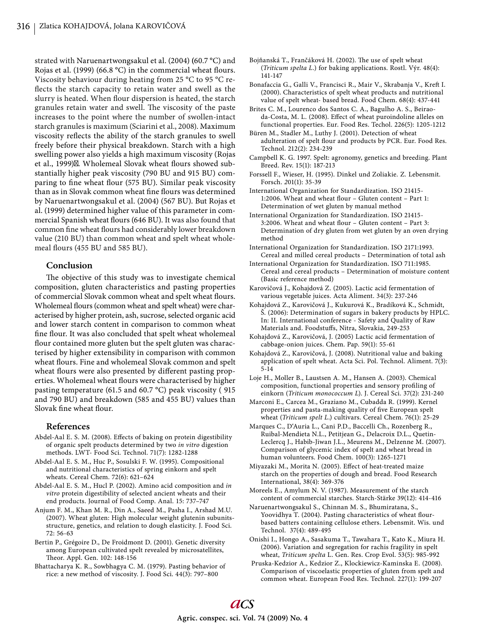strated with Naruenartwongsakul et al. (2004) **(**60.7 °C) and Rojas et al. (1999) (66.8  $^{\circ}$ C) in the commercial wheat flours. Viscosity behaviour during heating from 25 °C to 95 °C reflects the starch capacity to retain water and swell as the slurry is heated. When flour dispersion is heated, the starch granules retain water and swell. The viscosity of the paste increases to the point where the number of swollen-intact starch granules is maximum (Sciarini et al., 2008). Maximum viscosity reflects the ability of the starch granules to swell freely before their physical breakdown. Starch with a high swelling power also yields a high maximum viscosity (Rojas et al., 1999)<sup> $\&$ </sup>. Wholemeal Slovak wheat flours showed substantially higher peak viscosity (790 BU and 915 BU) comparing to fine wheat flour (575 BU). Similar peak viscosity than as in Slovak common wheat fine flours was determined by Naruenartwongsakul et al. (2004) (567 BU). But Rojas et al. (1999) determined higher value of this parameter in commercial Spanish wheat flours (646 BU). It was also found that common fine wheat flours had considerably lower breakdown value (210 BU) than common wheat and spelt wheat wholemeal flours (455 BU and 585 BU).

# **Conclusion**

The objective of this study was to investigate chemical composition, gluten characteristics and pasting properties of commercial Slovak common wheat and spelt wheat flours. Wholemeal flours (common wheat and spelt wheat) were characterised by higher protein, ash, sucrose, selected organic acid and lower starch content in comparison to common wheat fine flour. It was also concluded that spelt wheat wholemeal flour contained more gluten but the spelt gluten was characterised by higher extensibility in comparison with common wheat flours. Fine and wholemeal Slovak common and spelt wheat flours were also presented by different pasting properties. Wholemeal wheat flours were characterised by higher pasting temperature (61.5 and 60.7 °C) peak viscosity ( 915 and 790 BU) and breakdown (585 and 455 BU) values than Slovak fine wheat flour.

#### **References**

- Abdel-Aal E. S. M. (2008). Effects of baking on protein digestibility of organic spelt products determined by two *in vitro* digestion methods. LWT- Food Sci. Technol. 71(7): 1282-1288
- Abdel-Aal E. S. M., Huc P., Sosulski F. W. (1995). Compositional and nutritional characteristics of spring einkorn and spelt wheats. Cereal Chem. 72(6): 621–624
- Abdel-Aal E. S. M., Hucl P. (2002). Amino acid composition and *in vitro* protein digestibility of selected ancient wheats and their end products. Journal of Food Comp. Anal. 15: 737–747
- Anjum F. M., Khan M. R., Din A., Saeed M., Pasha I., Arshad M.U. (2007). Wheat gluten: High molecular weight glutenin subunitsstructure, genetics, and relation to dough elasticity. J. Food Sci. 72: 56-63
- Bertin P., Grégoire D., De Froidmont D. (2001). Genetic diversity among European cultivated spelt revealed by microsatellites, Theor. Appl. Gen. 102: 148-156
- Bhattacharya K. R., Sowbhagya C. M. (1979). Pasting behavior of rice: a new method of viscosity. J. Food Sci. 44(3): 797–800
- Bojňanská T., Frančáková H. (2002). The use of spelt wheat (*Triticum spelta L.*) for baking applications. Rostl. Výr. 48(4): 141-147
- Bonafaccia G., Galli V., Francisci R., Mair V., Skrabanja V., Kreft I. (2000). Characteristics of spelt wheat products and nutritional value of spelt wheat- based bread. Food Chem. 68(4): 437-441
- Brites C. M., Lourenco dos Santos C. A., Bagulho A. S., Beiraoda-Costa, M. L. (2008). Effect of wheat puroindoline alleles on functional properties. Eur. Food Res. Techol. 226(5): 1205-1212
- Büren M., Stadler M., Luthy J. (2001). Detection of wheat adulteration of spelt flour and products by PCR. Eur. Food Res. Technol. 212(2): 234-239
- Campbell K. G. 1997. Spelt: agronomy, genetics and breeding. Plant Breed. Rev. 15(1): 187-213
- Forssell F., Wieser, H. (1995). Dinkel und Zoliakie*.* Z*.* Lebensmit*.*  Forsch. *2*01(1): 35-39
- International Organization for Standardization. ISO 21415- 1:2006. Wheat and wheat flour – Gluten content – Part 1: Determination of wet gluten by manual method
- International Organization for Standardization. ISO 21415- 3:2006. Wheat and wheat flour - Gluten content - Part 3: Determination of dry gluten from wet gluten by an oven drying method
- International Organization for Standardization. ISO 2171:1993. Cereal and milled cereal products – Determination of total ash
- International Organization for Standardization. ISO 711:1985. Cereal and cereal products – Determination of moisture content (Basic reference method)
- Karovičová J., Kohajdová Z. (2005). Lactic acid fermentation of various vegetable juices. Acta Aliment. 34(3): 237-246
- Kohajdová Z., Karovičová J., Kukurová K., Bradíková K., Schmidt, Š. (2006): Determination of sugars in bakery products by HPLC. In: II. International conference - Safety and Quality of Raw Materials and. Foodstuffs, Nitra, Slovakia, 249-253
- Kohajdová Z., Karovičová, J. (2005) Lactic acid fermentation of cabbage-onion juices. Chem. Pap. 59(1): 55-61
- Kohajdová Z., Karovičová, J. (2008). Nutritional value and baking application of spelt wheat. Acta Sci. Pol. Technol. Aliment. 7(3): 5-14
- Loje H., Moller B., Laustsen A. M., Hansen A. (2003). Chemical composition, functional properties and sensory profiling of einkorn (*Triticum monococcum L*). J. Cereal Sci. 37(2): 231-240
- Marconi E., Carcea M., Graziano M., Cubadda R. (1999). Kernel properties and pasta-making quality of five European spelt wheat (*Triticum spelt L*.) cultivars. Cereal Chem. 76(1): 25-29
- Marques C., D'Auria L., Cani P.D., Baccelli Ch., Rozenberg R., Ruibal-Mendieta N.L., Petitjean G., Delacroix D.L., Quetin-Leclercq J., Habib-Jiwan J.L., Meurens M., Delzenne M. (2007). Comparison of glycemic index of spelt and wheat bread in human volunteers. Food Chem. 100(3): 1265-1271
- Miyazaki M., Morita N. (2005). Effect of heat-treated maize starch on the properties of dough and bread. Food Research International, 38(4): 369-376
- Moreels E., Amylum N. V. (1987). Measurement of the starch content of commercial starches. Starch-Stärke 39(12): 414-416
- Naruenartwongsakul S., Chinnan M. S., Bhumiratana, S., Yoovidhya T. (2004). Pasting characteristics of wheat flourbased batters containing cellulose ethers. Lebensmit. Wis. und Technol. 37(4): 489-495
- Onishi I., Hongo A., Sasakuma T., Tawahara T., Kato K., Miura H. (2006). Variation and segregation for rachis fragility in spelt wheat, *Triticum spelta* L. Gen. Res. Crop Evol. 53(5): 985-992
- Pruska-Kedzior A., Kedzior Z., Klockiewicz-Kaminska E. (2008). Comparison of viscoelastic properties of gluten from spelt and common wheat. European Food Res. Technol. 227(1): 199-207